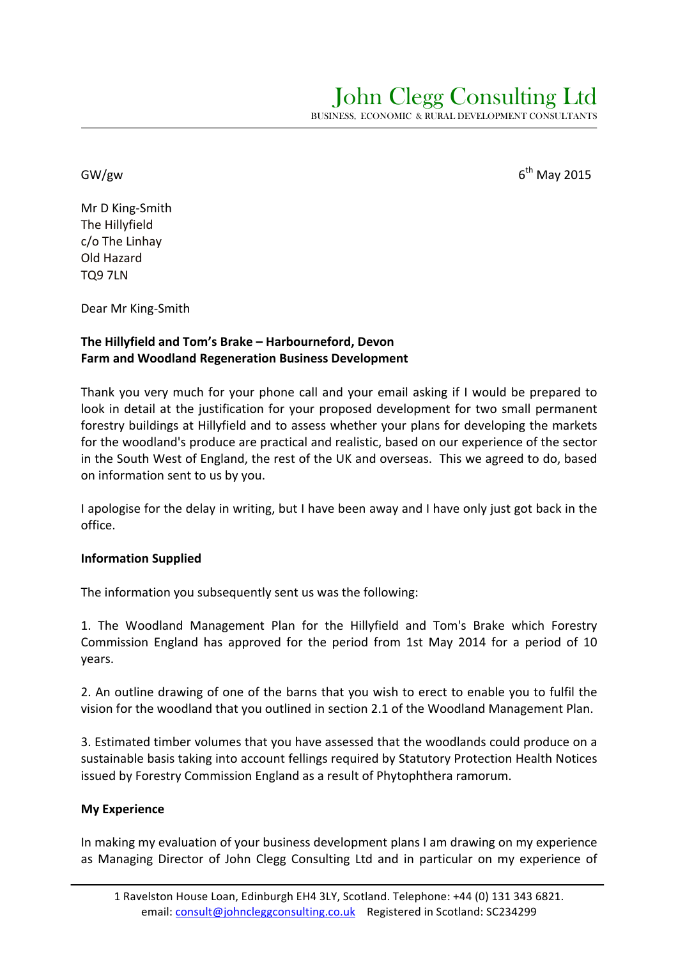$GW/gw$  6<sup>th</sup> May 2015

Mr D King-Smith The Hillyfield  $c$ /o The Linhay Old Hazard TQ9 7LN

Dear Mr King-Smith

## The Hillyfield and Tom's Brake - Harbourneford, Devon **Farm and Woodland Regeneration Business Development**

Thank you very much for your phone call and your email asking if I would be prepared to look in detail at the justification for your proposed development for two small permanent forestry buildings at Hillyfield and to assess whether your plans for developing the markets for the woodland's produce are practical and realistic, based on our experience of the sector in the South West of England, the rest of the UK and overseas. This we agreed to do, based on information sent to us by you.

I apologise for the delay in writing, but I have been away and I have only just got back in the office.

## **Information Supplied**

The information you subsequently sent us was the following:

1. The Woodland Management Plan for the Hillyfield and Tom's Brake which Forestry Commission England has approved for the period from 1st May 2014 for a period of 10 years.

2. An outline drawing of one of the barns that you wish to erect to enable you to fulfil the vision for the woodland that you outlined in section 2.1 of the Woodland Management Plan.

3. Estimated timber volumes that you have assessed that the woodlands could produce on a sustainable basis taking into account fellings required by Statutory Protection Health Notices issued by Forestry Commission England as a result of Phytophthera ramorum.

#### **My Experience**

In making my evaluation of your business development plans I am drawing on my experience as Managing Director of John Clegg Consulting Ltd and in particular on my experience of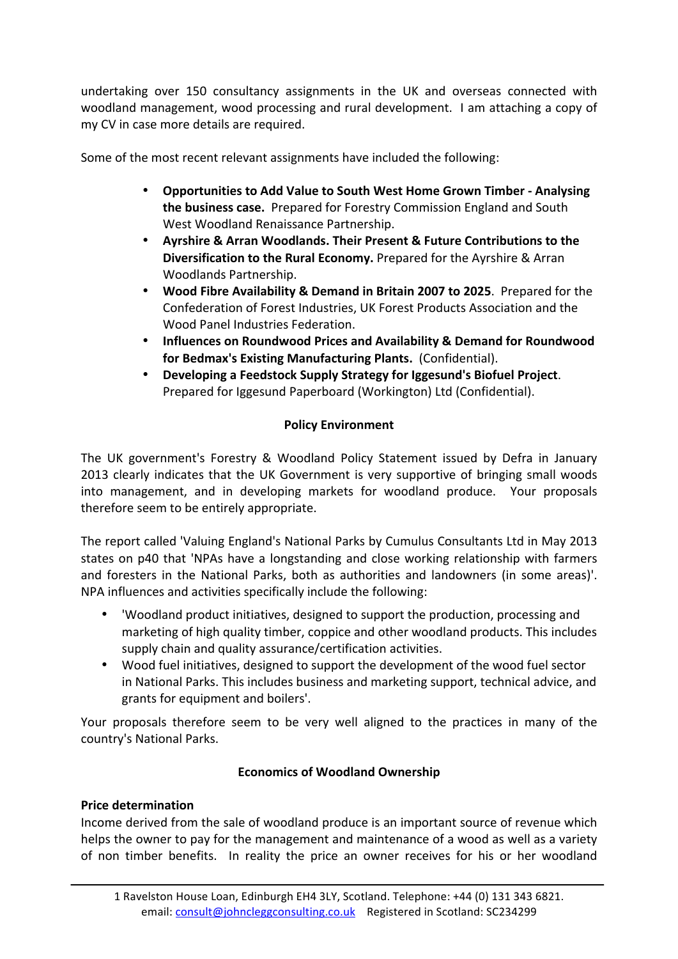undertaking over 150 consultancy assignments in the UK and overseas connected with woodland management, wood processing and rural development. I am attaching a copy of my CV in case more details are required.

Some of the most recent relevant assignments have included the following:

- Opportunities to Add Value to South West Home Grown Timber Analysing **the business case.** Prepared for Forestry Commission England and South West Woodland Renaissance Partnership.
- **Ayrshire & Arran Woodlands. Their Present & Future Contributions to the Diversification to the Rural Economy.** Prepared for the Ayrshire & Arran Woodlands Partnership.
- Wood Fibre Availability & Demand in Britain 2007 to 2025. Prepared for the Confederation of Forest Industries, UK Forest Products Association and the Wood Panel Industries Federation.
- Influences on Roundwood Prices and Availability & Demand for Roundwood **for Bedmax's Existing Manufacturing Plants.** (Confidential).
- Developing a Feedstock Supply Strategy for Iggesund's Biofuel Project. Prepared for Iggesund Paperboard (Workington) Ltd (Confidential).

# **Policy Environment**

The UK government's Forestry & Woodland Policy Statement issued by Defra in January 2013 clearly indicates that the UK Government is very supportive of bringing small woods into management, and in developing markets for woodland produce. Your proposals therefore seem to be entirely appropriate.

The report called 'Valuing England's National Parks by Cumulus Consultants Ltd in May 2013 states on p40 that 'NPAs have a longstanding and close working relationship with farmers and foresters in the National Parks, both as authorities and landowners (in some areas)'. NPA influences and activities specifically include the following:

- Voodland product initiatives, designed to support the production, processing and marketing of high quality timber, coppice and other woodland products. This includes supply chain and quality assurance/certification activities.
- Wood fuel initiatives, designed to support the development of the wood fuel sector in National Parks. This includes business and marketing support, technical advice, and grants for equipment and boilers'.

Your proposals therefore seem to be very well aligned to the practices in many of the country's National Parks.

# **Economics of Woodland Ownership**

## **Price determination**

Income derived from the sale of woodland produce is an important source of revenue which helps the owner to pay for the management and maintenance of a wood as well as a variety of non timber benefits. In reality the price an owner receives for his or her woodland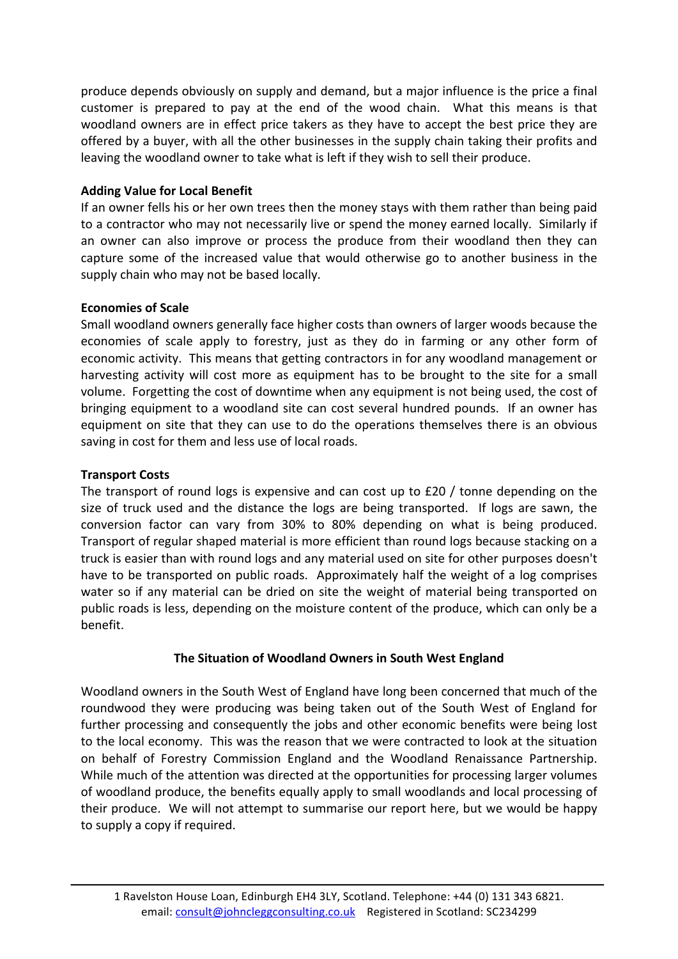produce depends obviously on supply and demand, but a major influence is the price a final customer is prepared to pay at the end of the wood chain. What this means is that woodland owners are in effect price takers as they have to accept the best price they are offered by a buyer, with all the other businesses in the supply chain taking their profits and leaving the woodland owner to take what is left if they wish to sell their produce.

## **Adding Value for Local Benefit**

If an owner fells his or her own trees then the money stays with them rather than being paid to a contractor who may not necessarily live or spend the money earned locally. Similarly if an owner can also improve or process the produce from their woodland then they can capture some of the increased value that would otherwise go to another business in the supply chain who may not be based locally.

### **Economies of Scale**

Small woodland owners generally face higher costs than owners of larger woods because the economies of scale apply to forestry, just as they do in farming or any other form of economic activity. This means that getting contractors in for any woodland management or harvesting activity will cost more as equipment has to be brought to the site for a small volume. Forgetting the cost of downtime when any equipment is not being used, the cost of bringing equipment to a woodland site can cost several hundred pounds. If an owner has equipment on site that they can use to do the operations themselves there is an obvious saving in cost for them and less use of local roads.

## **Transport Costs**

The transport of round logs is expensive and can cost up to  $£20 /$  tonne depending on the size of truck used and the distance the logs are being transported. If logs are sawn, the conversion factor can vary from 30% to 80% depending on what is being produced. Transport of regular shaped material is more efficient than round logs because stacking on a truck is easier than with round logs and any material used on site for other purposes doesn't have to be transported on public roads. Approximately half the weight of a log comprises water so if any material can be dried on site the weight of material being transported on public roads is less, depending on the moisture content of the produce, which can only be a benefit.

## **The Situation of Woodland Owners in South West England**

Woodland owners in the South West of England have long been concerned that much of the roundwood they were producing was being taken out of the South West of England for further processing and consequently the jobs and other economic benefits were being lost to the local economy. This was the reason that we were contracted to look at the situation on behalf of Forestry Commission England and the Woodland Renaissance Partnership. While much of the attention was directed at the opportunities for processing larger volumes of woodland produce, the benefits equally apply to small woodlands and local processing of their produce. We will not attempt to summarise our report here, but we would be happy to supply a copy if required.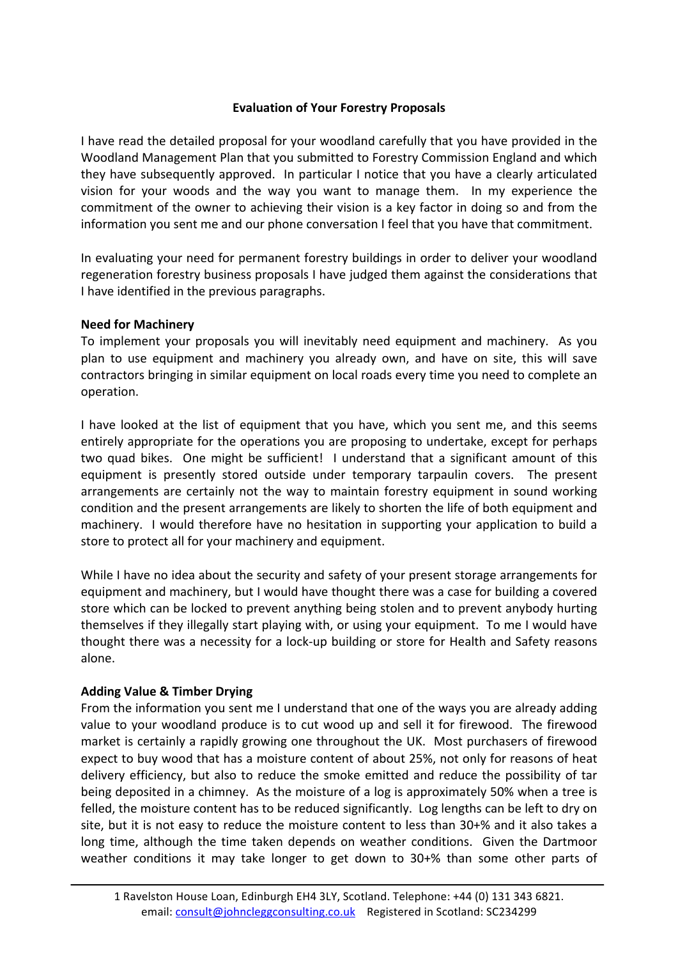## **Evaluation of Your Forestry Proposals**

I have read the detailed proposal for your woodland carefully that you have provided in the Woodland Management Plan that you submitted to Forestry Commission England and which they have subsequently approved. In particular I notice that you have a clearly articulated vision for your woods and the way you want to manage them. In my experience the commitment of the owner to achieving their vision is a key factor in doing so and from the information you sent me and our phone conversation I feel that you have that commitment.

In evaluating your need for permanent forestry buildings in order to deliver your woodland regeneration forestry business proposals I have judged them against the considerations that I have identified in the previous paragraphs.

#### **Need for Machinery**

To implement your proposals you will inevitably need equipment and machinery. As you plan to use equipment and machinery you already own, and have on site, this will save contractors bringing in similar equipment on local roads every time you need to complete an operation. 

I have looked at the list of equipment that you have, which you sent me, and this seems entirely appropriate for the operations you are proposing to undertake, except for perhaps two quad bikes. One might be sufficient! I understand that a significant amount of this equipment is presently stored outside under temporary tarpaulin covers. The present arrangements are certainly not the way to maintain forestry equipment in sound working condition and the present arrangements are likely to shorten the life of both equipment and machinery. I would therefore have no hesitation in supporting your application to build a store to protect all for your machinery and equipment.

While I have no idea about the security and safety of your present storage arrangements for equipment and machinery, but I would have thought there was a case for building a covered store which can be locked to prevent anything being stolen and to prevent anybody hurting themselves if they illegally start playing with, or using your equipment. To me I would have thought there was a necessity for a lock-up building or store for Health and Safety reasons alone.

## **Adding Value & Timber Drying**

From the information you sent me I understand that one of the ways you are already adding value to your woodland produce is to cut wood up and sell it for firewood. The firewood market is certainly a rapidly growing one throughout the UK. Most purchasers of firewood expect to buy wood that has a moisture content of about 25%, not only for reasons of heat delivery efficiency, but also to reduce the smoke emitted and reduce the possibility of tar being deposited in a chimney. As the moisture of a log is approximately 50% when a tree is felled, the moisture content has to be reduced significantly. Log lengths can be left to dry on site, but it is not easy to reduce the moisture content to less than  $30+%$  and it also takes a long time, although the time taken depends on weather conditions. Given the Dartmoor weather conditions it may take longer to get down to  $30+%$  than some other parts of